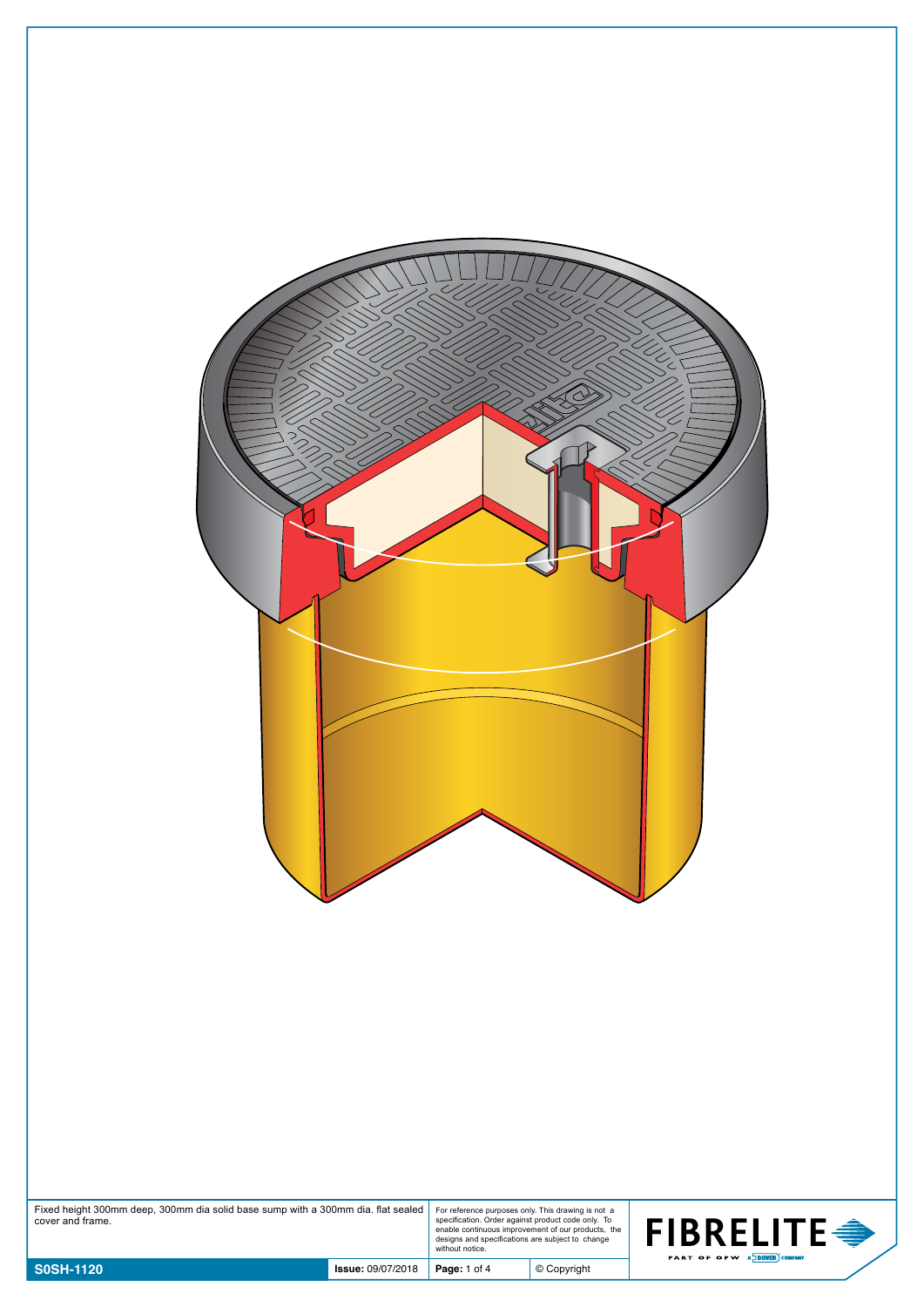| Fixed height 300mm deep, 300mm dia solid base sump with a 300mm dia. flat sealed<br>cover and frame. |                          | For reference purposes only. This drawing is not a<br>specification. Order against product code only. To | enable continuous improvement of our products, the<br>designs and specifications are subject to change<br>without notice. | <b>FIBRELITE <del>●</del></b> |
|------------------------------------------------------------------------------------------------------|--------------------------|----------------------------------------------------------------------------------------------------------|---------------------------------------------------------------------------------------------------------------------------|-------------------------------|
| <b>S0SH-1120</b>                                                                                     | <b>Issue: 09/07/2018</b> | Page: 1 of 4                                                                                             | $©$ Copyright                                                                                                             | PART OF OPW AND COMPANY       |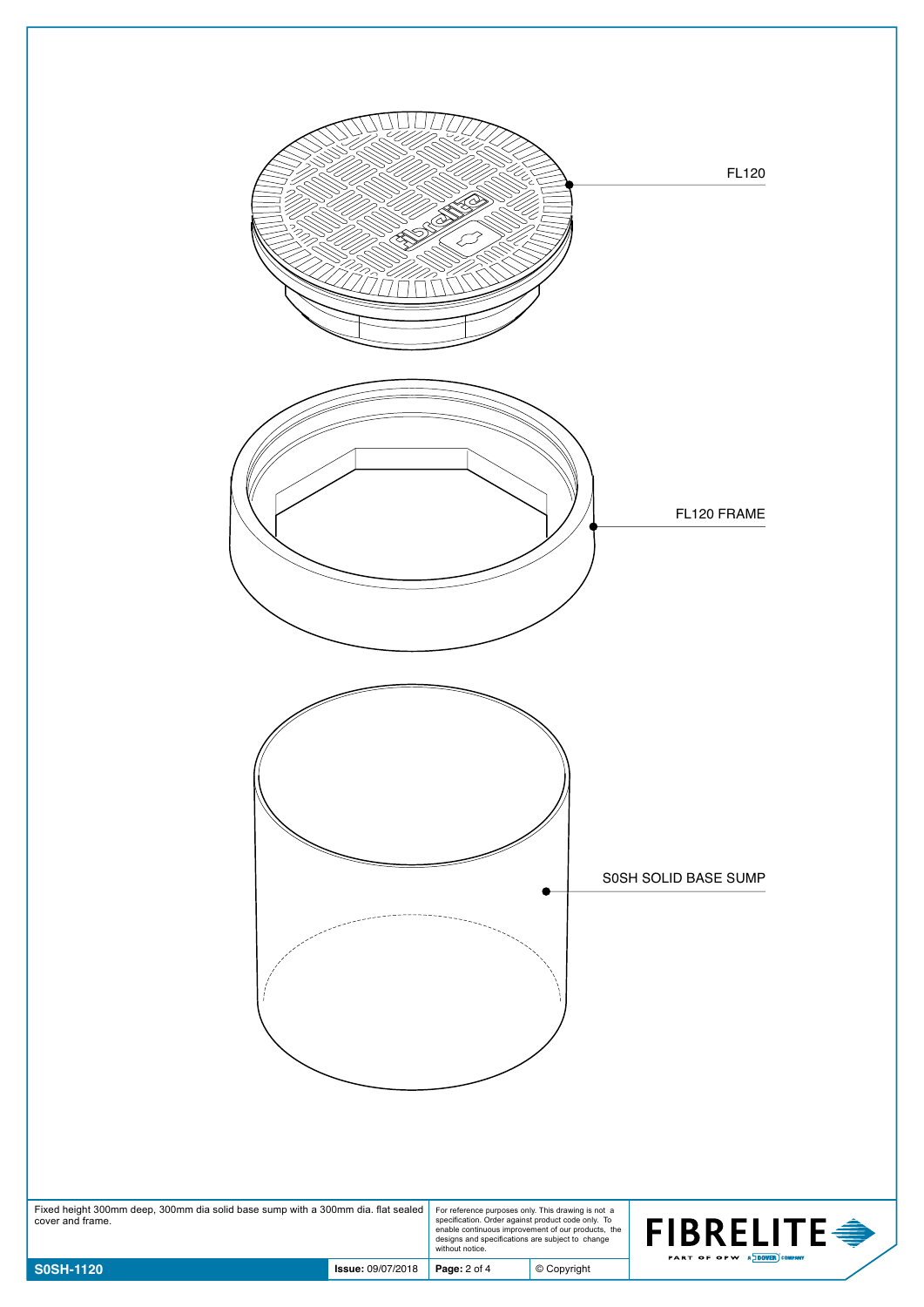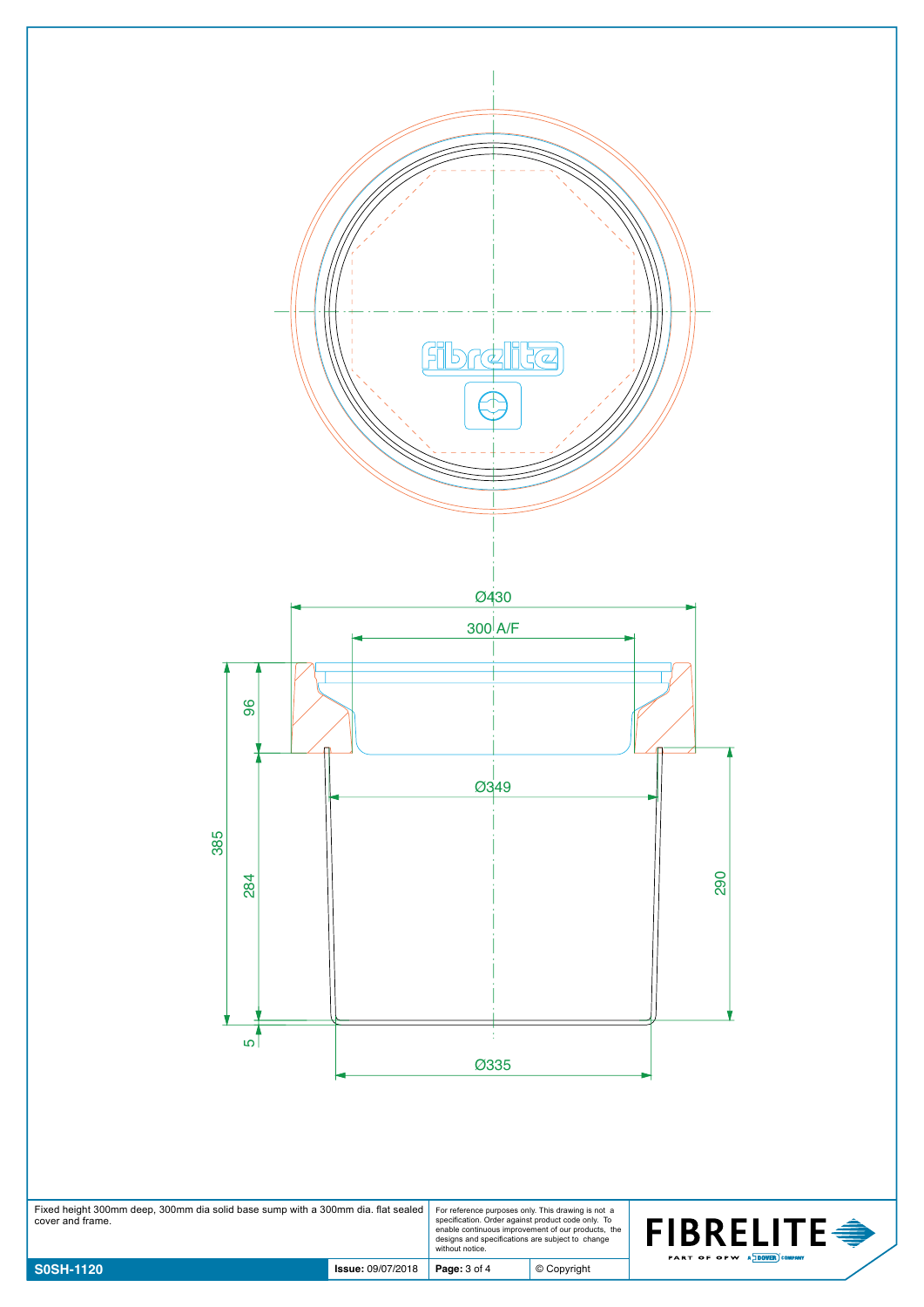